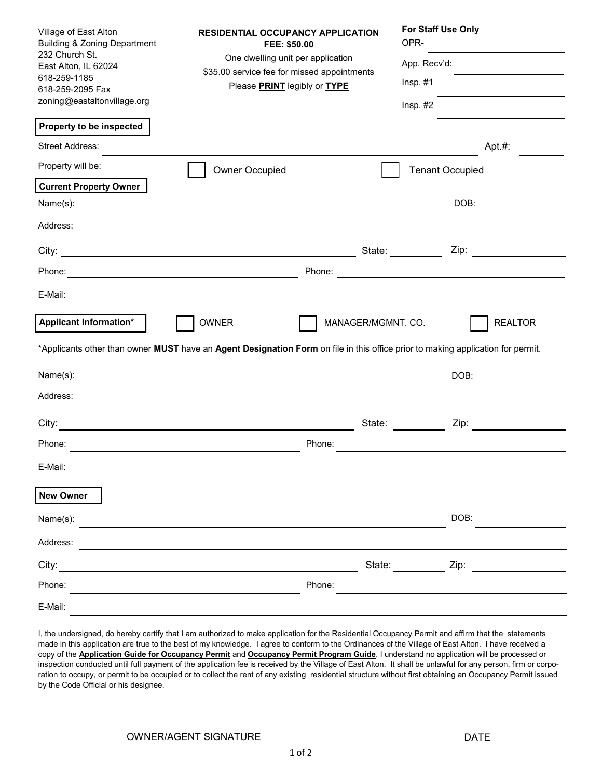| Village of East Alton<br><b>Building &amp; Zoning Department</b><br>232 Church St.<br>East Alton, IL 62024<br>618-259-1185<br>618-259-2095 Fax<br>zoning@eastaltonvillage.org | <b>RESIDENTIAL OCCUPANCY APPLICATION</b><br>FEE: \$50.00<br>One dwelling unit per application<br>\$35.00 service fee for missed appointments<br>Please PRINT legibly or TYPE | For Staff Use Only<br>OPR-<br>App. Recv'd:<br>$Insp. \#1$<br>$Insp. #2$ |  |  |  |  |  |
|-------------------------------------------------------------------------------------------------------------------------------------------------------------------------------|------------------------------------------------------------------------------------------------------------------------------------------------------------------------------|-------------------------------------------------------------------------|--|--|--|--|--|
| Property to be inspected                                                                                                                                                      |                                                                                                                                                                              |                                                                         |  |  |  |  |  |
| <b>Street Address:</b>                                                                                                                                                        |                                                                                                                                                                              | Apt. $#$ :                                                              |  |  |  |  |  |
| Property will be:                                                                                                                                                             | Owner Occupied                                                                                                                                                               | <b>Tenant Occupied</b>                                                  |  |  |  |  |  |
| <b>Current Property Owner</b>                                                                                                                                                 |                                                                                                                                                                              |                                                                         |  |  |  |  |  |
| Name(s):                                                                                                                                                                      |                                                                                                                                                                              | DOB:                                                                    |  |  |  |  |  |
| Address:                                                                                                                                                                      |                                                                                                                                                                              |                                                                         |  |  |  |  |  |
|                                                                                                                                                                               |                                                                                                                                                                              | State: <u>Zip: Zip:</u>                                                 |  |  |  |  |  |
| Phone:                                                                                                                                                                        | Phone:                                                                                                                                                                       |                                                                         |  |  |  |  |  |
| E-Mail:                                                                                                                                                                       |                                                                                                                                                                              |                                                                         |  |  |  |  |  |
| <b>Applicant Information*</b><br>OWNER<br><b>REALTOR</b><br>MANAGER/MGMNT. CO.                                                                                                |                                                                                                                                                                              |                                                                         |  |  |  |  |  |
| *Applicants other than owner MUST have an Agent Designation Form on file in this office prior to making application for permit.                                               |                                                                                                                                                                              |                                                                         |  |  |  |  |  |
| Name(s):                                                                                                                                                                      |                                                                                                                                                                              | DOB:                                                                    |  |  |  |  |  |
| Address:                                                                                                                                                                      |                                                                                                                                                                              |                                                                         |  |  |  |  |  |
| City:                                                                                                                                                                         | State:                                                                                                                                                                       | Zip:                                                                    |  |  |  |  |  |
| Phone:                                                                                                                                                                        | Phone:                                                                                                                                                                       |                                                                         |  |  |  |  |  |
| E-Mail:                                                                                                                                                                       |                                                                                                                                                                              |                                                                         |  |  |  |  |  |
| <b>New Owner</b>                                                                                                                                                              |                                                                                                                                                                              |                                                                         |  |  |  |  |  |
| Name(s):                                                                                                                                                                      |                                                                                                                                                                              | DOB:                                                                    |  |  |  |  |  |
| Address:                                                                                                                                                                      |                                                                                                                                                                              |                                                                         |  |  |  |  |  |
| City:                                                                                                                                                                         |                                                                                                                                                                              | State: State:<br>Zip:                                                   |  |  |  |  |  |
| Phone:                                                                                                                                                                        | Phone:                                                                                                                                                                       |                                                                         |  |  |  |  |  |
| E-Mail:                                                                                                                                                                       |                                                                                                                                                                              |                                                                         |  |  |  |  |  |

I, the undersigned, do hereby certify that I am authorized to make application for the Residential Occupancy Permit and affirm that the statements made in this application are true to the best of my knowledge. I agree to conform to the Ordinances of the Village of East Alton. I have received a copy of the **Application Guide for Occupancy Permit** and **Occupancy Permit Program Guide**. I understand no application will be processed or inspection conducted until full payment of the application fee is received by the Village of East Alton. It shall be unlawful for any person, firm or corporation to occupy, or permit to be occupied or to collect the rent of any existing residential structure without first obtaining an Occupancy Permit issued by the Code Official or his designee.